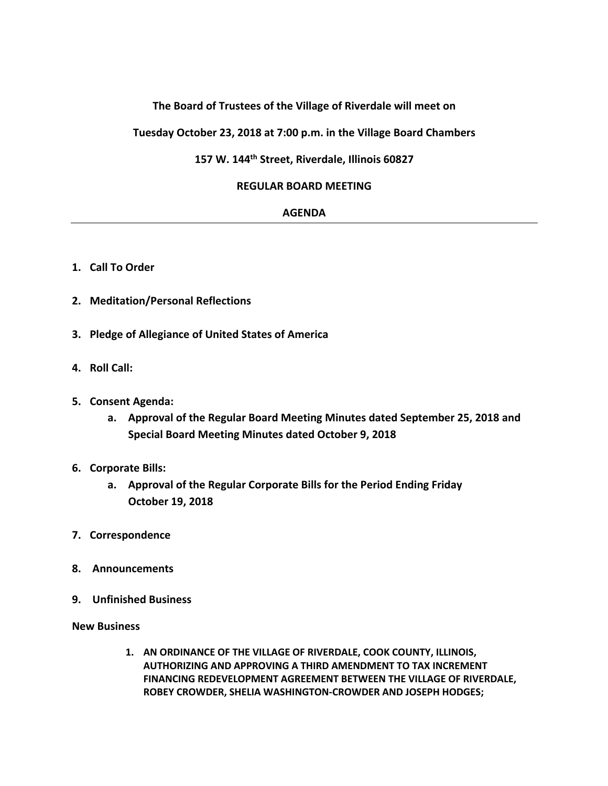# **The Board of Trustees of the Village of Riverdale will meet on**

**Tuesday October 23, 2018 at 7:00 p.m. in the Village Board Chambers**

**157 W. 144th Street, Riverdale, Illinois 60827**

## **REGULAR BOARD MEETING**

### **AGENDA**

- **1. Call To Order**
- **2. Meditation/Personal Reflections**
- **3. Pledge of Allegiance of United States of America**
- **4. Roll Call:**
- **5. Consent Agenda:**
	- **a. Approval of the Regular Board Meeting Minutes dated September 25, 2018 and Special Board Meeting Minutes dated October 9, 2018**
- **6. Corporate Bills:**
	- **a. Approval of the Regular Corporate Bills for the Period Ending Friday October 19, 2018**
- **7. Correspondence**
- **8. Announcements**
- **9. Unfinished Business**
- **New Business**
	- **1. AN ORDINANCE OF THE VILLAGE OF RIVERDALE, COOK COUNTY, ILLINOIS, AUTHORIZING AND APPROVING A THIRD AMENDMENT TO TAX INCREMENT FINANCING REDEVELOPMENT AGREEMENT BETWEEN THE VILLAGE OF RIVERDALE, ROBEY CROWDER, SHELIA WASHINGTON-CROWDER AND JOSEPH HODGES;**